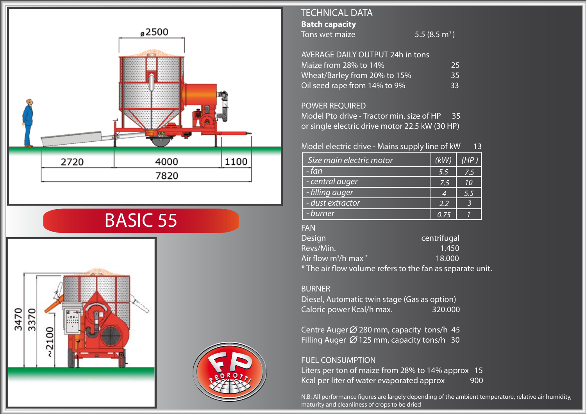

# BASIC 55





## **Batch capacity** Tons wet maize TECHNICAL DATA

5.5  $(8.5 \text{ m}^3)$ 

| <b>AVERAGE DAILY OUTPUT 24h in tons</b> |    |
|-----------------------------------------|----|
| Maize from 28% to 14%                   | 25 |
| Wheat/Barley from 20% to 15%            | 35 |
| Oil seed rape from 14% to 9%            | 33 |

#### POWER REQUIRED

Model Pto drive - Tractor min. size of HP 35 or single electric drive motor 22.5 kW (30 HP)

#### Model electric drive - Mains supply line of kW 13

| Size main electric motor | (kW) | (HP) |
|--------------------------|------|------|
| - fan                    | 5.5  | 7.5  |
| - central auger          | 7.5  | 10   |
| - filling auger          | 4    | 5.5  |
| - dust extractor         | 2.2  |      |
| - burner                 | 0.75 |      |

### FAN

| <b>Design</b>                         | centrifugal                                               |
|---------------------------------------|-----------------------------------------------------------|
| Revs/Min.                             | 1.450                                                     |
| Air flow m ${}^{3}\!/$ h max ${}^{*}$ | 18.000                                                    |
|                                       | * The air flow volume refers to the fan as separate unit. |

#### BURNER

Diesel, Automatic twin stage (Gas as option) Caloric power Kcal/h max. 320.000

Centre Auger  $\emptyset$  280 mm, capacity tons/h 45 Filling Auger  $\varnothing$  125 mm, capacity tons/h 30

## FUEL CONSUMPTION

Liters per ton of maize from 28% to 14% approx 15 Kcal per liter of water evaporated approx 900

N.B: All performance figures are largely depending of the ambient temperature, relative air humidity, maturity and cleanliness of crops to be dried